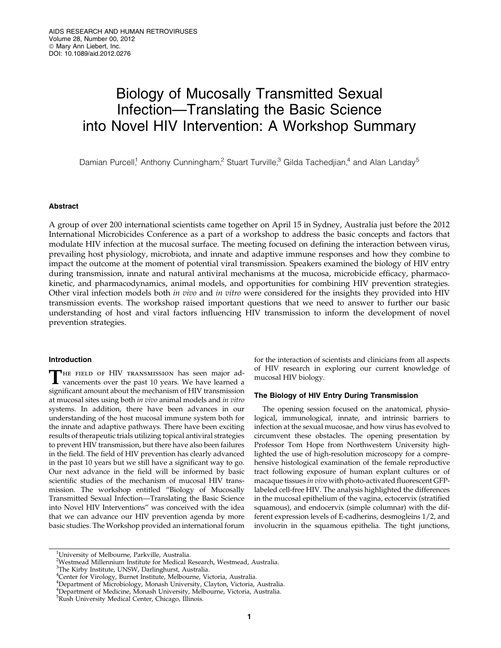# Biology of Mucosally Transmitted Sexual Infection—Translating the Basic Science into Novel HIV Intervention: A Workshop Summary

Damian Purcell,<sup>1</sup> Anthony Cunningham,<sup>2</sup> Stuart Turville,<sup>3</sup> Gilda Tachedjian,<sup>4</sup> and Alan Landay<sup>5</sup>

## Abstract

A group of over 200 international scientists came together on April 15 in Sydney, Australia just before the 2012 International Microbicides Conference as a part of a workshop to address the basic concepts and factors that modulate HIV infection at the mucosal surface. The meeting focused on defining the interaction between virus, prevailing host physiology, microbiota, and innate and adaptive immune responses and how they combine to impact the outcome at the moment of potential viral transmission. Speakers examined the biology of HIV entry during transmission, innate and natural antiviral mechanisms at the mucosa, microbicide efficacy, pharmacokinetic, and pharmacodynamics, animal models, and opportunities for combining HIV prevention strategies. Other viral infection models both in vivo and in vitro were considered for the insights they provided into HIV transmission events. The workshop raised important questions that we need to answer to further our basic understanding of host and viral factors influencing HIV transmission to inform the development of novel prevention strategies.

### Introduction

THE FIELD OF HIV TRANSMISSION has seen major ad-<br>vancements over the past 10 years. We have learned a significant amount about the mechanism of HIV transmission at mucosal sites using both in vivo animal models and in vitro systems. In addition, there have been advances in our understanding of the host mucosal immune system both for the innate and adaptive pathways. There have been exciting results of therapeutic trials utilizing topical antiviral strategies to prevent HIV transmission, but there have also been failures in the field. The field of HIV prevention has clearly advanced in the past 10 years but we still have a significant way to go. Our next advance in the field will be informed by basic scientific studies of the mechanism of mucosal HIV transmission. The workshop entitled ''Biology of Mucosally Transmitted Sexual Infection—Translating the Basic Science into Novel HIV Interventions'' was conceived with the idea that we can advance our HIV prevention agenda by more basic studies. The Workshop provided an international forum for the interaction of scientists and clinicians from all aspects of HIV research in exploring our current knowledge of mucosal HIV biology.

# The Biology of HIV Entry During Transmission

The opening session focused on the anatomical, physiological, immunological, innate, and intrinsic barriers to infection at the sexual mucosae, and how virus has evolved to circumvent these obstacles. The opening presentation by Professor Tom Hope from Northwestern University highlighted the use of high-resolution microscopy for a comprehensive histological examination of the female reproductive tract following exposure of human explant cultures or of macaque tissues in vivo with photo-activated fluorescent GFPlabeled cell-free HIV. The analysis highlighted the differences in the mucosal epithelium of the vagina, ectocervix (stratified squamous), and endocervix (simple columnar) with the different expression levels of E-cadherins, desmogleins 1/2, and involucrin in the squamous epithelia. The tight junctions,

<sup>&</sup>lt;sup>1</sup>University of Melbourne, Parkville, Australia.

<sup>&</sup>lt;sup>2</sup>Westmead Millennium Institute for Medical Research, Westmead, Australia.

<sup>&</sup>lt;sup>3</sup>The Kirby Institute, UNSW, Darlinghurst, Australia.

<sup>4</sup> Center for Virology, Burnet Institute, Melbourne, Victoria, Australia.

<sup>&</sup>lt;sup>4</sup>Department of Microbiology, Monash University, Clayton, Victoria, Australia.

<sup>4</sup> Department of Medicine, Monash University, Melbourne, Victoria, Australia.

<sup>5</sup> Rush University Medical Center, Chicago, Illinois.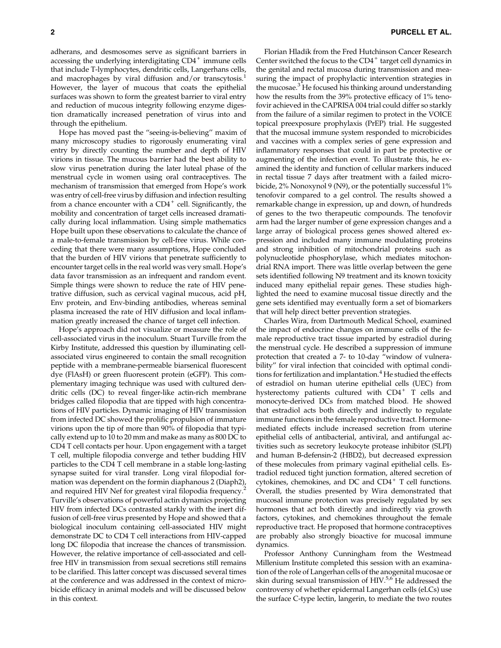adherans, and desmosomes serve as significant barriers in accessing the underlying interdigitating  $CD4^+$  immune cells that include T-lymphocytes, dendritic cells, Langerhans cells, and macrophages by viral diffusion and/or transcytosis.<sup>1</sup> However, the layer of mucous that coats the epithelial surfaces was shown to form the greatest barrier to viral entry and reduction of mucous integrity following enzyme digestion dramatically increased penetration of virus into and through the epithelium.

Hope has moved past the ''seeing-is-believing'' maxim of many microscopy studies to rigorously enumerating viral entry by directly counting the number and depth of HIV virions in tissue. The mucous barrier had the best ability to slow virus penetration during the later luteal phase of the menstrual cycle in women using oral contraceptives. The mechanism of transmission that emerged from Hope's work was entry of cell-free virus by diffusion and infection resulting from a chance encounter with a  $CD4^+$  cell. Significantly, the mobility and concentration of target cells increased dramatically during local inflammation. Using simple mathematics Hope built upon these observations to calculate the chance of a male-to-female transmission by cell-free virus. While conceding that there were many assumptions, Hope concluded that the burden of HIV virions that penetrate sufficiently to encounter target cells in the real world was very small. Hope's data favor transmission as an infrequent and random event. Simple things were shown to reduce the rate of HIV penetrative diffusion, such as cervical vaginal mucous, acid pH, Env protein, and Env-binding antibodies, whereas seminal plasma increased the rate of HIV diffusion and local inflammation greatly increased the chance of target cell infection.

Hope's approach did not visualize or measure the role of cell-associated virus in the inoculum. Stuart Turville from the Kirby Institute, addressed this question by illuminating cellassociated virus engineered to contain the small recognition peptide with a membrane-permeable biarsenical fluorescent dye (FlAsH) or green fluorescent protein (eGFP). This complementary imaging technique was used with cultured dendritic cells (DC) to reveal finger-like actin-rich membrane bridges called filopodia that are tipped with high concentrations of HIV particles. Dynamic imaging of HIV transmission from infected DC showed the prolific propulsion of immature virions upon the tip of more than 90% of filopodia that typically extend up to 10 to 20 mm and make as many as 800 DC to CD4 T cell contacts per hour. Upon engagement with a target T cell, multiple filopodia converge and tether budding HIV particles to the CD4 T cell membrane in a stable long-lasting synapse suited for viral transfer. Long viral filopodial formation was dependent on the formin diaphanous 2 (Diaph2), and required HIV Nef for greatest viral filopodia frequency.<sup>2</sup> Turville's observations of powerful actin dynamics projecting HIV from infected DCs contrasted starkly with the inert diffusion of cell-free virus presented by Hope and showed that a biological inoculum containing cell-associated HIV might demonstrate DC to CD4 T cell interactions from HIV-capped long DC filopodia that increase the chances of transmission. However, the relative importance of cell-associated and cellfree HIV in transmission from sexual secretions still remains to be clarified. This latter concept was discussed several times at the conference and was addressed in the context of microbicide efficacy in animal models and will be discussed below in this context.

Florian Hladik from the Fred Hutchinson Cancer Research Center switched the focus to the  $CD4^+$  target cell dynamics in the genital and rectal mucosa during transmission and measuring the impact of prophylactic intervention strategies in the mucosae.<sup>3</sup> He focused his thinking around understanding how the results from the 39% protective efficacy of 1% tenofovir achieved in the CAPRISA 004 trial could differ so starkly from the failure of a similar regimen to protect in the VOICE topical preexposure prophylaxis (PrEP) trial. He suggested that the mucosal immune system responded to microbicides and vaccines with a complex series of gene expression and inflammatory responses that could in part be protective or augmenting of the infection event. To illustrate this, he examined the identity and function of cellular markers induced in rectal tissue 7 days after treatment with a failed microbicide, 2% Nonoxynol 9 (N9), or the potentially successful 1% tenofovir compared to a gel control. The results showed a remarkable change in expression, up and down, of hundreds of genes to the two therapeutic compounds. The tenofovir arm had the larger number of gene expression changes and a large array of biological process genes showed altered expression and included many immune modulating proteins and strong inhibition of mitochondrial proteins such as polynucleotide phosphorylase, which mediates mitochondrial RNA import. There was little overlap between the gene sets identified following N9 treatment and its known toxicity induced many epithelial repair genes. These studies highlighted the need to examine mucosal tissue directly and the gene sets identified may eventually form a set of biomarkers that will help direct better prevention strategies.

Charles Wira, from Dartmouth Medical School, examined the impact of endocrine changes on immune cells of the female reproductive tract tissue imparted by estradiol during the menstrual cycle. He described a suppression of immune protection that created a 7- to 10-day "window of vulnerability'' for viral infection that coincided with optimal conditions for fertilization and implantation. $4$  He studied the effects of estradiol on human uterine epithelial cells (UEC) from hysterectomy patients cultured with CD4<sup>+</sup> T cells and monocyte-derived DCs from matched blood. He showed that estradiol acts both directly and indirectly to regulate immune functions in the female reproductive tract. Hormonemediated effects include increased secretion from uterine epithelial cells of antibacterial, antiviral, and antifungal activities such as secretory leukocyte protease inhibitor (SLPI) and human B-defensin-2 (HBD2), but decreased expression of these molecules from primary vaginal epithelial cells. Estradiol reduced tight junction formation, altered secretion of cytokines, chemokines, and DC and  $CD4^+$  T cell functions. Overall, the studies presented by Wira demonstrated that mucosal immune protection was precisely regulated by sex hormones that act both directly and indirectly via growth factors, cytokines, and chemokines throughout the female reproductive tract. He proposed that hormone contraceptives are probably also strongly bioactive for mucosal immune dynamics.

Professor Anthony Cunningham from the Westmead Millenium Institute completed this session with an examination of the role of Langerhan cells of the anogenital mucosae or skin during sexual transmission of HIV.<sup>5,6</sup> He addressed the controversy of whether epidermal Langerhan cells (eLCs) use the surface C-type lectin, langerin, to mediate the two routes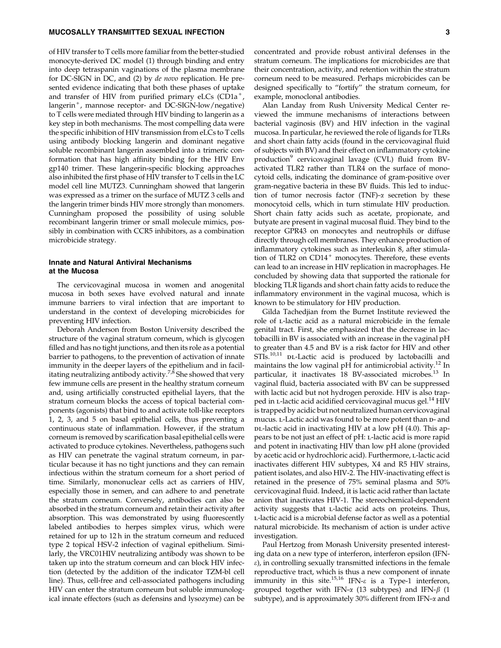#### MUCOSALLY TRANSMITTED SEXUAL INFECTION 3

of HIV transfer to T cells more familiar from the better-studied monocyte-derived DC model (1) through binding and entry into deep tetraspanin vaginations of the plasma membrane for DC-SIGN in DC, and (2) by de novo replication. He presented evidence indicating that both these phases of uptake and transfer of HIV from purified primary eLCs  $(CD1a^+,$  $langerin<sup>+</sup>$ , mannose receptor- and DC-SIGN-low/negative) to T cells were mediated through HIV binding to langerin as a key step in both mechanisms. The most compelling data were the specific inhibition of HIV transmission from eLCs to T cells using antibody blocking langerin and dominant negative soluble recombinant langerin assembled into a trimeric conformation that has high affinity binding for the HIV Env gp140 trimer. These langerin-specific blocking approaches also inhibited the first phase of HIV transfer to T cells in the LC model cell line MUTZ3. Cunningham showed that langerin was expressed as a trimer on the surface of MUTZ 3 cells and the langerin trimer binds HIV more strongly than monomers. Cunningham proposed the possibility of using soluble recombinant langerin trimer or small molecule mimics, possibly in combination with CCR5 inhibitors, as a combination microbicide strategy.

# Innate and Natural Antiviral Mechanisms at the Mucosa

The cervicovaginal mucosa in women and anogenital mucosa in both sexes have evolved natural and innate immune barriers to viral infection that are important to understand in the context of developing microbicides for preventing HIV infection.

Deborah Anderson from Boston University described the structure of the vaginal stratum corneum, which is glycogen filled and has no tight junctions, and then its role as a potential barrier to pathogens, to the prevention of activation of innate immunity in the deeper layers of the epithelium and in facilitating neutralizing antibody activity.<sup>7,8</sup> She showed that very few immune cells are present in the healthy stratum corneum and, using artificially constructed epithelial layers, that the stratum corneum blocks the access of topical bacterial components (agonists) that bind to and activate toll-like receptors 1, 2, 3, and 5 on basal epithelial cells, thus preventing a continuous state of inflammation. However, if the stratum corneum is removed by scarification basal epithelial cells were activated to produce cytokines. Nevertheless, pathogens such as HIV can penetrate the vaginal stratum corneum, in particular because it has no tight junctions and they can remain infectious within the stratum corneum for a short period of time. Similarly, mononuclear cells act as carriers of HIV, especially those in semen, and can adhere to and penetrate the stratum corneum. Conversely, antibodies can also be absorbed in the stratum corneum and retain their activity after absorption. This was demonstrated by using fluorescently labeled antibodies to herpes simplex virus, which were retained for up to 12 h in the stratum corneum and reduced type 2 topical HSV-2 infection of vaginal epithelium. Similarly, the VRC01HIV neutralizing antibody was shown to be taken up into the stratum corneum and can block HIV infection (detected by the addition of the indicator TZM-bl cell line). Thus, cell-free and cell-associated pathogens including HIV can enter the stratum corneum but soluble immunological innate effectors (such as defensins and lysozyme) can be concentrated and provide robust antiviral defenses in the stratum corneum. The implications for microbicides are that their concentration, activity, and retention within the stratum corneum need to be measured. Perhaps microbicides can be designed specifically to ''fortify'' the stratum corneum, for example, monoclonal antibodies.

Alan Landay from Rush University Medical Center reviewed the immune mechanisms of interactions between bacterial vaginosis (BV) and HIV infection in the vaginal mucosa. In particular, he reviewed the role of ligands for TLRs and short chain fatty acids (found in the cervicovaginal fluid of subjects with BV) and their effect on inflammatory cytokine production<sup>9</sup> cervicovaginal lavage (CVL) fluid from BVactivated TLR2 rather than TLR4 on the surface of monocytoid cells, indicating the dominance of gram-positive over gram-negative bacteria in these BV fluids. This led to induction of tumor necrosis factor (TNF)- $\alpha$  secretion by these monocytoid cells, which in turn stimulate HIV production. Short chain fatty acids such as acetate, propionate, and butyate are present in vaginal mucosal fluid. They bind to the receptor GPR43 on monocytes and neutrophils or diffuse directly through cell membranes. They enhance production of inflammatory cytokines such as interleukin 8, after stimulation of TLR2 on  $CD14<sup>+</sup>$  monocytes. Therefore, these events can lead to an increase in HIV replication in macrophages. He concluded by showing data that supported the rationale for blocking TLR ligands and short chain fatty acids to reduce the inflammatory environment in the vaginal mucosa, which is known to be stimulatory for HIV production.

Gilda Tachedjian from the Burnet Institute reviewed the role of *L*-lactic acid as a natural microbicide in the female genital tract. First, she emphasized that the decrease in lactobacilli in BV is associated with an increase in the vaginal pH to greater than 4.5 and BV is a risk factor for HIV and other STIs.<sup>10,11</sup> DL-Lactic acid is produced by lactobacilli and maintains the low vaginal pH for antimicrobial activity.<sup>12</sup> In particular, it inactivates 18 BV-associated microbes.13 In vaginal fluid, bacteria associated with BV can be suppressed with lactic acid but not hydrogen peroxide. HIV is also trapped in L-lactic acid acidified cervicovaginal mucus gel.<sup>14</sup> HIV is trapped by acidic but not neutralized human cervicovaginal mucus. L-Lactic acid was found to be more potent than D- and  $PL$ -lactic acid in inactivating HIV at a low pH (4.0). This appears to be not just an effect of pH: L-lactic acid is more rapid and potent in inactivating HIV than low pH alone (provided by acetic acid or hydrochloric acid). Furthermore, L-lactic acid inactivates different HIV subtypes, X4 and R5 HIV strains, patient isolates, and also HIV-2. The HIV-inactivating effect is retained in the presence of 75% seminal plasma and 50% cervicovaginal fluid. Indeed, it is lactic acid rather than lactate anion that inactivates HIV-1. The stereochemical-dependent activity suggests that l-lactic acid acts on proteins. Thus, l-lactic acid is a microbial defense factor as well as a potential natural microbicide. Its mechanism of action is under active investigation.

Paul Hertzog from Monash University presented interesting data on a new type of interferon, interferon epsilon (IFN- $\varepsilon$ ), in controlling sexually transmitted infections in the female reproductive tract, which is thus a new component of innate immunity in this site.<sup>15,16</sup> IFN- $\varepsilon$  is a Type-1 interferon, grouped together with IFN- $\alpha$  (13 subtypes) and IFN- $\beta$  (1 subtype), and is approximately 30% different from IFN- $\alpha$  and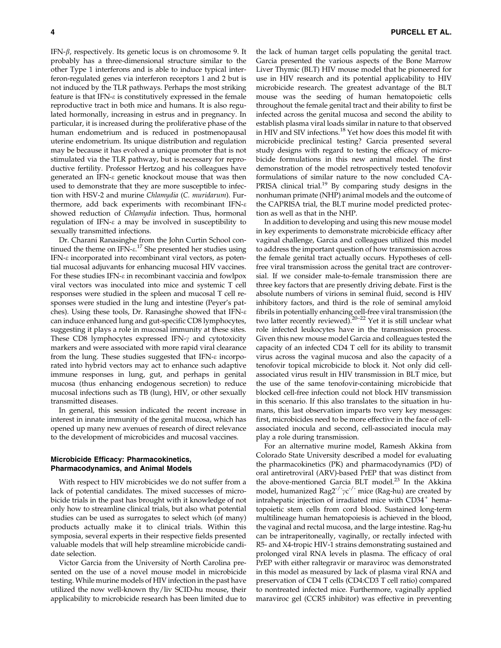IFN- $\beta$ , respectively. Its genetic locus is on chromosome 9. It probably has a three-dimensional structure similar to the other Type 1 interferons and is able to induce typical interferon-regulated genes via interferon receptors 1 and 2 but is not induced by the TLR pathways. Perhaps the most striking feature is that IFN- $\varepsilon$  is constitutively expressed in the female reproductive tract in both mice and humans. It is also regulated hormonally, increasing in estrus and in pregnancy. In particular, it is increased during the proliferative phase of the human endometrium and is reduced in postmenopausal uterine endometrium. Its unique distribution and regulation may be because it has evolved a unique promoter that is not stimulated via the TLR pathway, but is necessary for reproductive fertility. Professor Hertzog and his colleagues have generated an IFN-e genetic knockout mouse that was then used to demonstrate that they are more susceptible to infection with HSV-2 and murine Chlamydia (C. muridarum). Furthermore, add back experiments with recombinant IFN- $\varepsilon$ showed reduction of Chlamydia infection. Thus, hormonal regulation of IFN-e a may be involved in susceptibility to sexually transmitted infections.

Dr. Charani Ranasinghe from the John Curtin School continued the theme on IFN- $\varepsilon$ .<sup>17</sup> She presented her studies using IFN-e incorporated into recombinant viral vectors, as potential mucosal adjuvants for enhancing mucosal HIV vaccines. For these studies IFN- $\varepsilon$  in recombinant vaccinia and fowlpox viral vectors was inoculated into mice and systemic T cell responses were studied in the spleen and mucosal T cell responses were studied in the lung and intestine (Peyer's patches). Using these tools, Dr. Ranasinghe showed that IFN- $\varepsilon$ can induce enhanced lung and gut-specific CD8 lymphocytes, suggesting it plays a role in mucosal immunity at these sites. These CD8 lymphocytes expressed IFN- $\gamma$  and cytotoxicity markers and were associated with more rapid viral clearance from the lung. These studies suggested that IFN- $\varepsilon$  incorporated into hybrid vectors may act to enhance such adaptive immune responses in lung, gut, and perhaps in genital mucosa (thus enhancing endogenous secretion) to reduce mucosal infections such as TB (lung), HIV, or other sexually transmitted diseases.

In general, this session indicated the recent increase in interest in innate immunity of the genital mucosa, which has opened up many new avenues of research of direct relevance to the development of microbicides and mucosal vaccines.

# Microbicide Efficacy: Pharmacokinetics, Pharmacodynamics, and Animal Models

With respect to HIV microbicides we do not suffer from a lack of potential candidates. The mixed successes of microbicide trials in the past has brought with it knowledge of not only how to streamline clinical trials, but also what potential studies can be used as surrogates to select which (of many) products actually make it to clinical trials. Within this symposia, several experts in their respective fields presented valuable models that will help streamline microbicide candidate selection.

Victor Garcia from the University of North Carolina presented on the use of a novel mouse model in microbicide testing. While murine models of HIV infection in the past have utilized the now well-known thy/liv SCID-hu mouse, their applicability to microbicide research has been limited due to the lack of human target cells populating the genital tract. Garcia presented the various aspects of the Bone Marrow Liver Thymic (BLT) HIV mouse model that he pioneered for use in HIV research and its potential applicability to HIV microbicide research. The greatest advantage of the BLT mouse was the seeding of human hematopoietic cells throughout the female genital tract and their ability to first be infected across the genital mucosa and second the ability to establish plasma viral loads similar in nature to that observed in HIV and SIV infections.<sup>18</sup> Yet how does this model fit with microbicide preclinical testing? Garcia presented several study designs with regard to testing the efficacy of microbicide formulations in this new animal model. The first demonstration of the model retrospectively tested tenofovir formulations of similar nature to the now concluded CA-PRISA clinical trial.<sup>19</sup> By comparing study designs in the nonhuman primate (NHP) animal models and the outcome of the CAPRISA trial, the BLT murine model predicted protection as well as that in the NHP.

In addition to developing and using this new mouse model in key experiments to demonstrate microbicide efficacy after vaginal challenge, Garcia and colleagues utilized this model to address the important question of how transmission across the female genital tract actually occurs. Hypotheses of cellfree viral transmission across the genital tract are controversial. If we consider male-to-female transmission there are three key factors that are presently driving debate. First is the absolute numbers of virions in seminal fluid, second is HIV inhibitory factors, and third is the role of seminal amyloid fibrils in potentially enhancing cell-free viral transmission (the two latter recently reviewed).20–22 Yet it is still unclear what role infected leukocytes have in the transmission process. Given this new mouse model Garcia and colleagues tested the capacity of an infected CD4 T cell for its ability to transmit virus across the vaginal mucosa and also the capacity of a tenofovir topical microbicide to block it. Not only did cellassociated virus result in HIV transmission in BLT mice, but the use of the same tenofovir-containing microbicide that blocked cell-free infection could not block HIV transmission in this scenario. If this also translates to the situation in humans, this last observation imparts two very key messages: first, microbicides need to be more effective in the face of cellassociated inocula and second, cell-associated inocula may play a role during transmission.

For an alternative murine model, Ramesh Akkina from Colorado State University described a model for evaluating the pharmacokinetics (PK) and pharmacodynamics (PD) of oral antiretroviral (ARV)-based PrEP that was distinct from the above-mentioned Garcia BLT model.<sup>23</sup> In the Akkina model, humanized Rag2<sup>-/-</sup> $\gamma$ c<sup>-/-</sup> mice (Rag-hu) are created by intrahepatic injection of irradiated mice with CD34<sup>+</sup> hematopoietic stem cells from cord blood. Sustained long-term multilineage human hematopoiesis is achieved in the blood, the vaginal and rectal mucosa, and the large intestine. Rag-hu can be intraperitoneally, vaginally, or rectally infected with R5- and X4-tropic HIV-1 strains demonstrating sustained and prolonged viral RNA levels in plasma. The efficacy of oral PrEP with either raltegravir or maraviroc was demonstrated in this model as measured by lack of plasma viral RNA and preservation of CD4 T cells (CD4:CD3 T cell ratio) compared to nontreated infected mice. Furthermore, vaginally applied maraviroc gel (CCR5 inhibitor) was effective in preventing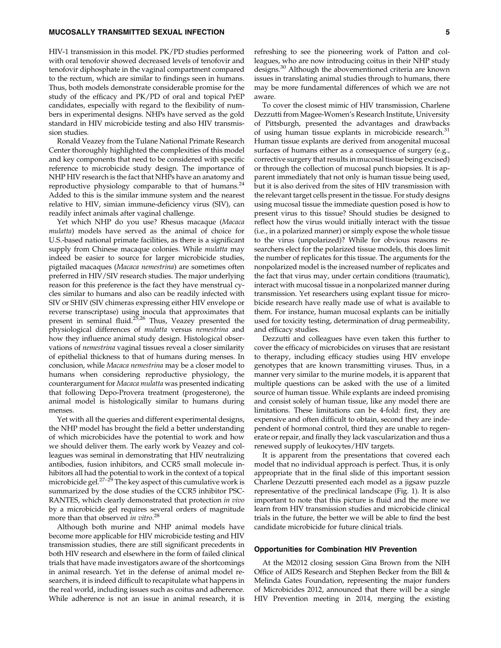# MUCOSALLY TRANSMITTED SEXUAL INFECTION 5

HIV-1 transmission in this model. PK/PD studies performed with oral tenofovir showed decreased levels of tenofovir and tenofovir diphosphate in the vaginal compartment compared to the rectum, which are similar to findings seen in humans. Thus, both models demonstrate considerable promise for the study of the efficacy and PK/PD of oral and topical PrEP candidates, especially with regard to the flexibility of numbers in experimental designs. NHPs have served as the gold standard in HIV microbicide testing and also HIV transmission studies.

Ronald Veazey from the Tulane National Primate Research Center thoroughly highlighted the complexities of this model and key components that need to be considered with specific reference to microbicide study design. The importance of NHP HIV research is the fact that NHPs have an anatomy and reproductive physiology comparable to that of humans.<sup>24</sup> Added to this is the similar immune system and the nearest relative to HIV, simian immune-deficiency virus (SIV), can readily infect animals after vaginal challenge.

Yet which NHP do you use? Rhesus macaque (Macaca mulatta) models have served as the animal of choice for U.S.-based national primate facilities, as there is a significant supply from Chinese macaque colonies. While *mulatta* may indeed be easier to source for larger microbicide studies, pigtailed macaques (Macaca nemestrina) are sometimes often preferred in HIV/SIV research studies. The major underlying reason for this preference is the fact they have menstrual cycles similar to humans and also can be readily infected with SIV or SHIV (SIV chimeras expressing either HIV envelope or reverse transcriptase) using inocula that approximates that present in seminal fluid.<sup>25,26</sup> Thus, Veazey presented the physiological differences of mulatta versus nemestrina and how they influence animal study design. Histological observations of nemestrina vaginal tissues reveal a closer similarity of epithelial thickness to that of humans during menses. In conclusion, while Macaca nemestrina may be a closer model to humans when considering reproductive physiology, the counterargument for Macaca mulatta was presented indicating that following Depo-Provera treatment (progesterone), the animal model is histologically similar to humans during menses.

Yet with all the queries and different experimental designs, the NHP model has brought the field a better understanding of which microbicides have the potential to work and how we should deliver them. The early work by Veazey and colleagues was seminal in demonstrating that HIV neutralizing antibodies, fusion inhibitors, and CCR5 small molecule inhibitors all had the potential to work in the context of a topical microbicide gel. $27-29$  The key aspect of this cumulative work is summarized by the dose studies of the CCR5 inhibitor PSC-RANTES, which clearly demonstrated that protection in vivo by a microbicide gel requires several orders of magnitude more than that observed in vitro.<sup>28</sup>

Although both murine and NHP animal models have become more applicable for HIV microbicide testing and HIV transmission studies, there are still significant precedents in both HIV research and elsewhere in the form of failed clinical trials that have made investigators aware of the shortcomings in animal research. Yet in the defense of animal model researchers, it is indeed difficult to recapitulate what happens in the real world, including issues such as coitus and adherence. While adherence is not an issue in animal research, it is

refreshing to see the pioneering work of Patton and colleagues, who are now introducing coitus in their NHP study designs.<sup>30</sup> Although the abovementioned criteria are known issues in translating animal studies through to humans, there may be more fundamental differences of which we are not aware.

To cover the closest mimic of HIV transmission, Charlene Dezzutti from Magee-Women's Research Institute, University of Pittsburgh, presented the advantages and drawbacks of using human tissue explants in microbicide research.<sup>31</sup> Human tissue explants are derived from anogenital mucosal surfaces of humans either as a consequence of surgery (e.g., corrective surgery that results in mucosal tissue being excised) or through the collection of mucosal punch biopsies. It is apparent immediately that not only is human tissue being used, but it is also derived from the sites of HIV transmission with the relevant target cells present in the tissue. For study designs using mucosal tissue the immediate question posed is how to present virus to this tissue? Should studies be designed to reflect how the virus would initially interact with the tissue (i.e., in a polarized manner) or simply expose the whole tissue to the virus (unpolarized)? While for obvious reasons researchers elect for the polarized tissue models, this does limit the number of replicates for this tissue. The arguments for the nonpolarized model is the increased number of replicates and the fact that virus may, under certain conditions (traumatic), interact with mucosal tissue in a nonpolarized manner during transmission. Yet researchers using explant tissue for microbicide research have really made use of what is available to them. For instance, human mucosal explants can be initially used for toxicity testing, determination of drug permeability, and efficacy studies.

Dezzutti and colleagues have even taken this further to cover the efficacy of microbicides on viruses that are resistant to therapy, including efficacy studies using HIV envelope genotypes that are known transmitting viruses. Thus, in a manner very similar to the murine models, it is apparent that multiple questions can be asked with the use of a limited source of human tissue. While explants are indeed promising and consist solely of human tissue, like any model there are limitations. These limitations can be 4-fold: first, they are expensive and often difficult to obtain, second they are independent of hormonal control, third they are unable to regenerate or repair, and finally they lack vascularization and thus a renewed supply of leukocytes/HIV targets.

It is apparent from the presentations that covered each model that no individual approach is perfect. Thus, it is only appropriate that in the final slide of this important session Charlene Dezzutti presented each model as a jigsaw puzzle representative of the preclinical landscape (Fig. 1). It is also important to note that this picture is fluid and the more we learn from HIV transmission studies and microbicide clinical trials in the future, the better we will be able to find the best candidate microbicide for future clinical trials.

## Opportunities for Combination HIV Prevention

At the M2012 closing session Gina Brown from the NIH Office of AIDS Research and Stephen Becker from the Bill & Melinda Gates Foundation, representing the major funders of Microbicides 2012, announced that there will be a single HIV Prevention meeting in 2014, merging the existing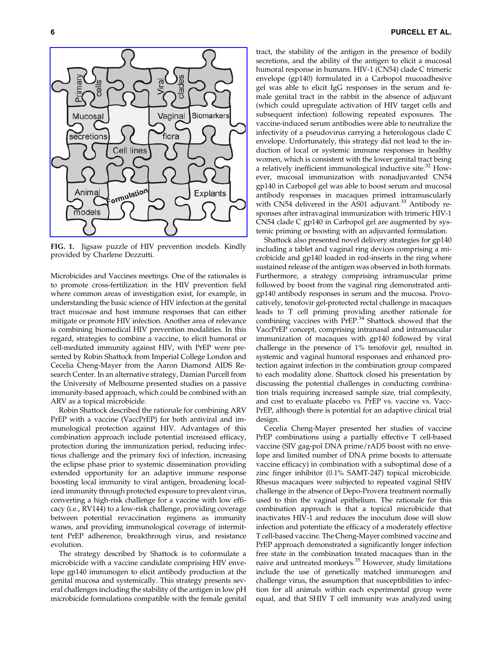

FIG. 1. Jigsaw puzzle of HIV prevention models. Kindly provided by Charlene Dezzutti.

Microbicides and Vaccines meetings. One of the rationales is to promote cross-fertilization in the HIV prevention field where common areas of investigation exist, for example, in understanding the basic science of HIV infection at the genital tract mucosae and host immune responses that can either mitigate or promote HIV infection. Another area of relevance is combining biomedical HIV prevention modalities. In this regard, strategies to combine a vaccine, to elicit humoral or cell-mediated immunity against HIV, with PrEP were presented by Robin Shattock from Imperial College London and Cecelia Cheng-Mayer from the Aaron Diamond AIDS Research Center. In an alternative strategy, Damian Purcell from the University of Melbourne presented studies on a passive immunity-based approach, which could be combined with an ARV as a topical microbicide.

Robin Shattock described the rationale for combining ARV PrEP with a vaccine (VaccPrEP) for both antiviral and immunological protection against HIV. Advantages of this combination approach include potential increased efficacy, protection during the immunization period, reducing infectious challenge and the primary foci of infection, increasing the eclipse phase prior to systemic dissemination providing extended opportunity for an adaptive immune response boosting local immunity to viral antigen, broadening localized immunity through protected exposure to prevalent virus, converting a high-risk challenge for a vaccine with low efficacy (i.e., RV144) to a low-risk challenge, providing coverage between potential revaccination regimens as immunity wanes, and providing immunological coverage of intermittent PrEP adherence, breakthrough virus, and resistance evolution.

The strategy described by Shattock is to coformulate a microbicide with a vaccine candidate comprising HIV envelope gp140 immunogen to elicit antibody production at the genital mucosa and systemically. This strategy presents several challenges including the stability of the antigen in low pH microbicide formulations compatible with the female genital tract, the stability of the antigen in the presence of bodily secretions, and the ability of the antigen to elicit a mucosal humoral response in humans. HIV-1 (CN54) clade C trimeric envelope (gp140) formulated in a Carbopol mucoadhesive gel was able to elicit IgG responses in the serum and female genital tract in the rabbit in the absence of adjuvant (which could upregulate activation of HIV target cells and subsequent infection) following repeated exposures. The vaccine-induced serum antibodies were able to neutralize the infectivity of a pseudovirus carrying a heterologous clade C envelope. Unfortunately, this strategy did not lead to the induction of local or systemic immune responses in healthy women, which is consistent with the lower genital tract being a relatively inefficient immunological inductive site.<sup>32</sup> However, mucosal immunization with nonadjuvanted CN54 gp140 in Carbopol gel was able to boost serum and mucosal antibody responses in macaques primed intramuscularly with CN54 delivered in the AS01 adjuvant.<sup>33</sup> Antibody responses after intravaginal immunization with trimeric HIV-1 CN54 clade C gp140 in Carbopol gel are augmented by systemic priming or boosting with an adjuvanted formulation.

Shattock also presented novel delivery strategies for gp140 including a tablet and vaginal ring devices comprising a microbicide and gp140 loaded in rod-inserts in the ring where sustained release of the antigen was observed in both formats. Furthermore, a strategy comprising intramuscular prime followed by boost from the vaginal ring demonstrated antigp140 antibody responses in serum and the mucosa. Provocatively, tenofovir gel-protected rectal challenge in macaques leads to T cell priming providing another rationale for combining vaccines with PrEP.<sup>34</sup> Shattock showed that the VaccPrEP concept, comprising intranasal and intramuscular immunization of macaques with gp140 followed by viral challenge in the presence of 1% tenofovir gel, resulted in systemic and vaginal humoral responses and enhanced protection against infection in the combination group compared to each modality alone. Shattock closed his presentation by discussing the potential challenges in conducting combination trials requiring increased sample size, trial complexity, and cost to evaluate placebo vs. PrEP vs. vaccine vs. Vacc-PrEP, although there is potential for an adaptive clinical trial design.

Cecelia Cheng-Mayer presented her studies of vaccine PrEP combinations using a partially effective T cell-based vaccine (SIV gag-pol DNA prime/rAD5 boost with no envelope and limited number of DNA prime boosts to attenuate vaccine efficacy) in combination with a suboptimal dose of a zinc finger inhibitor (0.1% SAMT-247) topical microbicide. Rhesus macaques were subjected to repeated vaginal SHIV challenge in the absence of Depo-Provera treatment normally used to thin the vaginal epithelium. The rationale for this combination approach is that a topical microbicide that inactivates HIV-1 and reduces the inoculum dose will slow infection and potentiate the efficacy of a moderately effective T cell-based vaccine. The Cheng-Mayer combined vaccine and PrEP approach demonstrated a significantly longer infection free state in the combination treated macaques than in the naive and untreated monkeys.<sup>35</sup> However, study limitations include the use of genetically matched immunogen and challenge virus, the assumption that susceptibilities to infection for all animals within each experimental group were equal, and that SHIV T cell immunity was analyzed using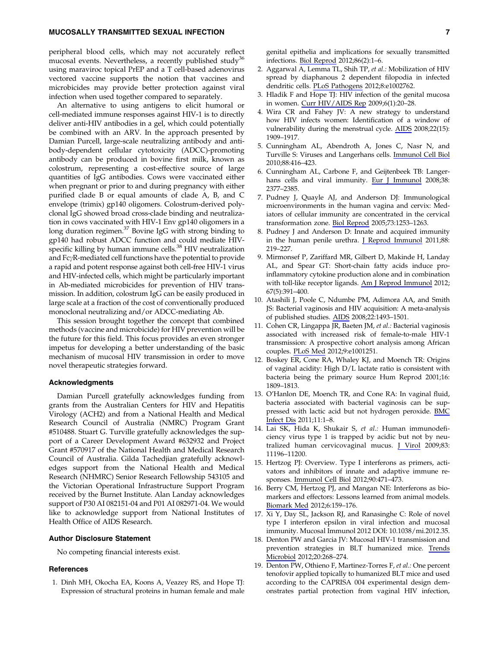#### MUCOSALLY TRANSMITTED SEXUAL INFECTION 7

peripheral blood cells, which may not accurately reflect mucosal events. Nevertheless, a recently published study<sup>36</sup> using maraviroc topical PrEP and a T cell-based adenovirus vectored vaccine supports the notion that vaccines and microbicides may provide better protection against viral infection when used together compared to separately.

An alternative to using antigens to elicit humoral or cell-mediated immune responses against HIV-1 is to directly deliver anti-HIV antibodies in a gel, which could potentially be combined with an ARV. In the approach presented by Damian Purcell, large-scale neutralizing antibody and antibody-dependent cellular cytotoxicity (ADCC)-promoting antibody can be produced in bovine first milk, known as colostrum, representing a cost-effective source of large quantities of IgG antibodies. Cows were vaccinated either when pregnant or prior to and during pregnancy with either purified clade B or equal amounts of clade A, B, and C envelope (trimix) gp140 oligomers. Colostrum-derived polyclonal IgG showed broad cross-clade binding and neutralization in cows vaccinated with HIV-1 Env gp140 oligomers in a long duration regimen.<sup>37</sup> Bovine IgG with strong binding to gp140 had robust ADCC function and could mediate HIVspecific killing by human immune cells.<sup>38</sup> HIV neutralization and FcyR-mediated cell functions have the potential to provide a rapid and potent response against both cell-free HIV-1 virus and HIV-infected cells, which might be particularly important in Ab-mediated microbicides for prevention of HIV transmission. In addition, colostrum IgG can be easily produced in large scale at a fraction of the cost of conventionally produced monoclonal neutralizing and/or ADCC-mediating Ab.

This session brought together the concept that combined methods (vaccine and microbicide) for HIV prevention will be the future for this field. This focus provides an even stronger impetus for developing a better understanding of the basic mechanism of mucosal HIV transmission in order to move novel therapeutic strategies forward.

#### Acknowledgments

Damian Purcell gratefully acknowledges funding from grants from the Australian Centers for HIV and Hepatitis Virology (ACH2) and from a National Health and Medical Research Council of Australia (NMRC) Program Grant #510488. Stuart G. Turville gratefully acknowledges the support of a Career Development Award #632932 and Project Grant #570917 of the National Health and Medical Research Council of Australia. Gilda Tachedjian gratefully acknowledges support from the National Health and Medical Research (NHMRC) Senior Research Fellowship 543105 and the Victorian Operational Infrastructure Support Program received by the Burnet Institute. Alan Landay acknowledges support of P30 AI 082151-04 and P01 AI 082971-04. We would like to acknowledge support from National Institutes of Health Office of AIDS Research.

## Author Disclosure Statement

No competing financial interests exist.

#### References

1. Dinh MH, Okocha EA, Koons A, Veazey RS, and Hope TJ: Expression of structural proteins in human female and male genital epithelia and implications for sexually transmitted infections. Biol Reprod 2012;86(2):1–6.

- 2. Aggarwal A, Lemma TL, Shih TP, et al.: Mobilization of HIV spread by diaphanous 2 dependent filopodia in infected dendritic cells. PLoS Pathogens 2012;8:e1002762.
- 3. Hladik F and Hope TJ: HIV infection of the genital mucosa in women. Curr HIV/AIDS Rep 2009;6(1):20–28.
- 4. Wira CR and Fahey JV: A new strategy to understand how HIV infects women: Identification of a window of vulnerability during the menstrual cycle. AIDS 2008;22(15): 1909–1917.
- 5. Cunningham AL, Abendroth A, Jones C, Nasr N, and Turville S: Viruses and Langerhans cells. Immunol Cell Biol 2010;88:416–423.
- 6. Cunningham AL, Carbone F, and Geijtenbeek TB: Langerhans cells and viral immunity. Eur J Immunol 2008;38: 2377–2385.
- 7. Pudney J, Quayle AJ, and Anderson DJ: Immunological microenvironments in the human vagina and cervix: Mediators of cellular immunity are concentrated in the cervical transformation zone. Biol Reprod 2005;73:1253–1263.
- 8. Pudney J and Anderson D: Innate and acquired immunity in the human penile urethra. J Reprod Immunol 2011;88: 219–227.
- 9. Mirmonsef P, Zariffard MR, Gilbert D, Makinde H, Landay AL, and Spear GT: Short-chain fatty acids induce proinflammatory cytokine production alone and in combination with toll-like receptor ligands. Am J Reprod Immunol 2012; 67(5):391–400.
- 10. Atashili J, Poole C, Ndumbe PM, Adimora AA, and Smith JS: Bacterial vaginosis and HIV acquisition: A meta-analysis of published studies. AIDS 2008;22:1493–1501.
- 11. Cohen CR, Lingappa JR, Baeten JM, et al.: Bacterial vaginosis associated with increased risk of female-to-male HIV-1 transmission: A prospective cohort analysis among African couples. PLoS Med 2012;9:e1001251.
- 12. Boskey ER, Cone RA, Whaley KJ, and Moench TR: Origins of vaginal acidity: High D/L lactate ratio is consistent with bacteria being the primary source Hum Reprod 2001;16: 1809–1813.
- 13. O'Hanlon DE, Moench TR, and Cone RA: In vaginal fluid, bacteria associated with bacterial vaginosis can be suppressed with lactic acid but not hydrogen peroxide. BMC Infect Dis 2011;11:1–8.
- 14. Lai SK, Hida K, Shukair S, et al.: Human immunodeficiency virus type 1 is trapped by acidic but not by neutralized human cervicovaginal mucus. J Virol 2009;83: 11196–11200.
- 15. Hertzog PJ: Overview. Type I interferons as primers, activators and inhibitors of innate and adaptive immune responses. Immunol Cell Biol 2012;90:471–473.
- 16. Berry CM, Hertzog PJ, and Mangan NE: Interferons as biomarkers and effectors: Lessons learned from animal models. Biomark Med 2012;6:159–176.
- 17. Xi Y, Day SL, Jackson RJ, and Ranasinghe C: Role of novel type I interferon epsilon in viral infection and mucosal immunity. Mucosal Immunol 2012 DOI: 10.1038/mi.2012.35.
- 18. Denton PW and Garcia JV: Mucosal HIV-1 transmission and prevention strategies in BLT humanized mice. Trends Microbiol 2012;20:268–274.
- 19. Denton PW, Othieno F, Martinez-Torres F, et al.: One percent tenofovir applied topically to humanized BLT mice and used according to the CAPRISA 004 experimental design demonstrates partial protection from vaginal HIV infection,